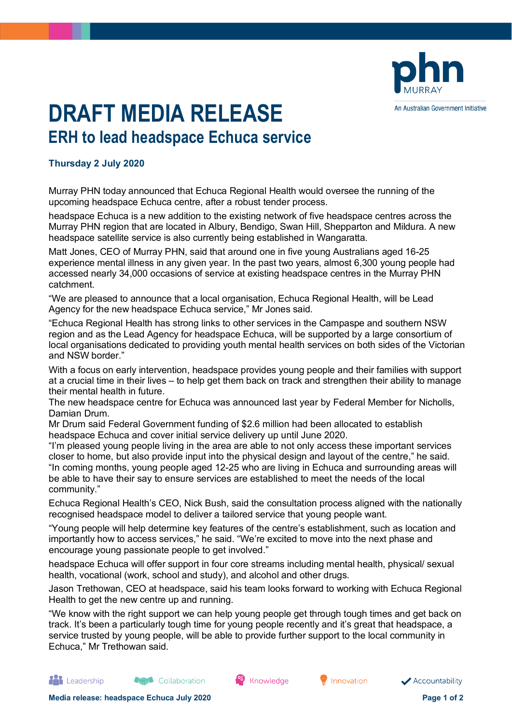

## **DRAFT MEDIA RELEASE ERH to lead headspace Echuca service**

## **Thursday 2 July 2020**

Murray PHN today announced that Echuca Regional Health would oversee the running of the upcoming headspace Echuca centre, after a robust tender process.

headspace Echuca is a new addition to the existing network of five headspace centres across the Murray PHN region that are located in Albury, Bendigo, Swan Hill, Shepparton and Mildura. A new headspace satellite service is also currently being established in Wangaratta.

Matt Jones, CEO of Murray PHN, said that around one in five young Australians aged 16-25 experience mental illness in any given year. In the past two years, almost 6,300 young people had accessed nearly 34,000 occasions of service at existing headspace centres in the Murray PHN catchment.

"We are pleased to announce that a local organisation, Echuca Regional Health, will be Lead Agency for the new headspace Echuca service," Mr Jones said.

"Echuca Regional Health has strong links to other services in the Campaspe and southern NSW region and as the Lead Agency for headspace Echuca, will be supported by a large consortium of local organisations dedicated to providing youth mental health services on both sides of the Victorian and NSW border."

With a focus on early intervention, headspace provides young people and their families with support at a crucial time in their lives – to help get them back on track and strengthen their ability to manage their mental health in future.

The new headspace centre for Echuca was announced last year by Federal Member for Nicholls, Damian Drum.

Mr Drum said Federal Government funding of \$2.6 million had been allocated to establish headspace Echuca and cover initial service delivery up until June 2020.

"I'm pleased young people living in the area are able to not only access these important services closer to home, but also provide input into the physical design and layout of the centre," he said. "In coming months, young people aged 12-25 who are living in Echuca and surrounding areas will be able to have their say to ensure services are established to meet the needs of the local community."

Echuca Regional Health's CEO, Nick Bush, said the consultation process aligned with the nationally recognised headspace model to deliver a tailored service that young people want.

"Young people will help determine key features of the centre's establishment, such as location and importantly how to access services," he said. "We're excited to move into the next phase and encourage young passionate people to get involved."

headspace Echuca will offer support in four core streams including mental health, physical/ sexual health, vocational (work, school and study), and alcohol and other drugs.

Jason Trethowan, CEO at headspace, said his team looks forward to working with Echuca Regional Health to get the new centre up and running.

"We know with the right support we can help young people get through tough times and get back on track. It's been a particularly tough time for young people recently and it's great that headspace, a service trusted by young people, will be able to provide further support to the local community in Echuca," Mr Trethowan said.

**Th** Leadership

Collaboration

<sup>68</sup> Knowledge

Innovation

Accountability